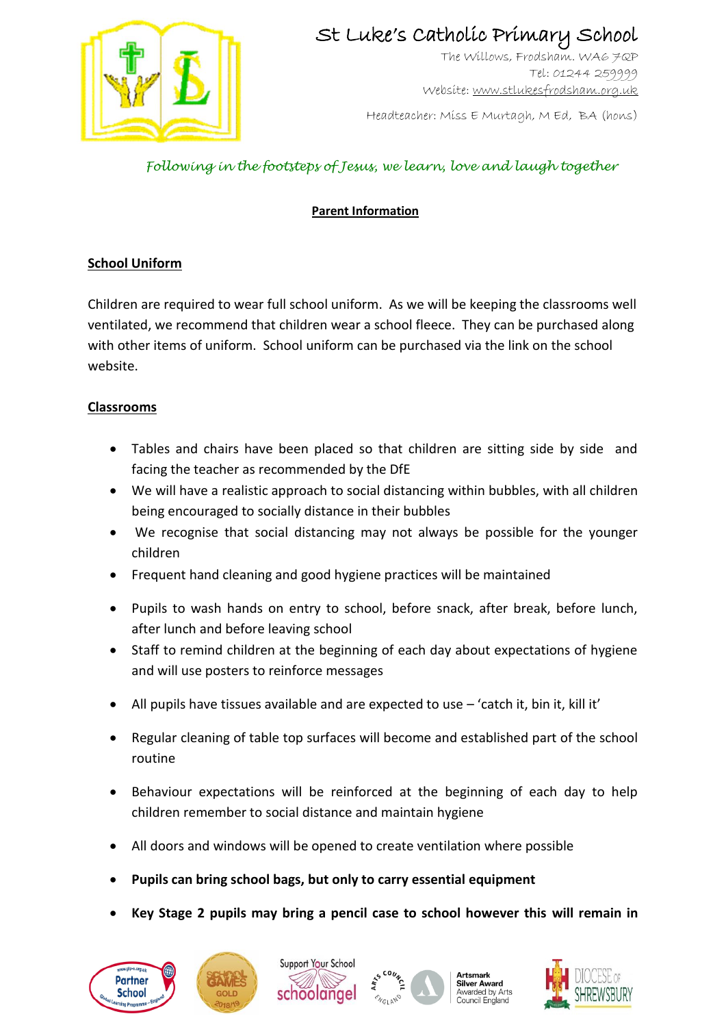

The Willows, Frodsham. WA6 7QP Tel: 01244 259999 Website[: www.stlukesfrodsham.org.uk](http://www.stlukesfrodsham.org.uk/)

Headteacher: Miss E Murtagh, M Ed, BA (hons)

## *Following in the footsteps of Jesus, we learn, love and laugh together*

### **Parent Information**

#### **School Uniform**

Children are required to wear full school uniform. As we will be keeping the classrooms well ventilated, we recommend that children wear a school fleece. They can be purchased along with other items of uniform. School uniform can be purchased via the link on the school website.

#### **Classrooms**

- Tables and chairs have been placed so that children are sitting side by side and facing the teacher as recommended by the DfE
- We will have a realistic approach to social distancing within bubbles, with all children being encouraged to socially distance in their bubbles
- We recognise that social distancing may not always be possible for the younger children
- Frequent hand cleaning and good hygiene practices will be maintained
- Pupils to wash hands on entry to school, before snack, after break, before lunch, after lunch and before leaving school
- Staff to remind children at the beginning of each day about expectations of hygiene and will use posters to reinforce messages
- All pupils have tissues available and are expected to use 'catch it, bin it, kill it'
- Regular cleaning of table top surfaces will become and established part of the school routine
- Behaviour expectations will be reinforced at the beginning of each day to help children remember to social distance and maintain hygiene
- All doors and windows will be opened to create ventilation where possible
- **Pupils can bring school bags, but only to carry essential equipment**
- **Key Stage 2 pupils may bring a pencil case to school however this will remain in**









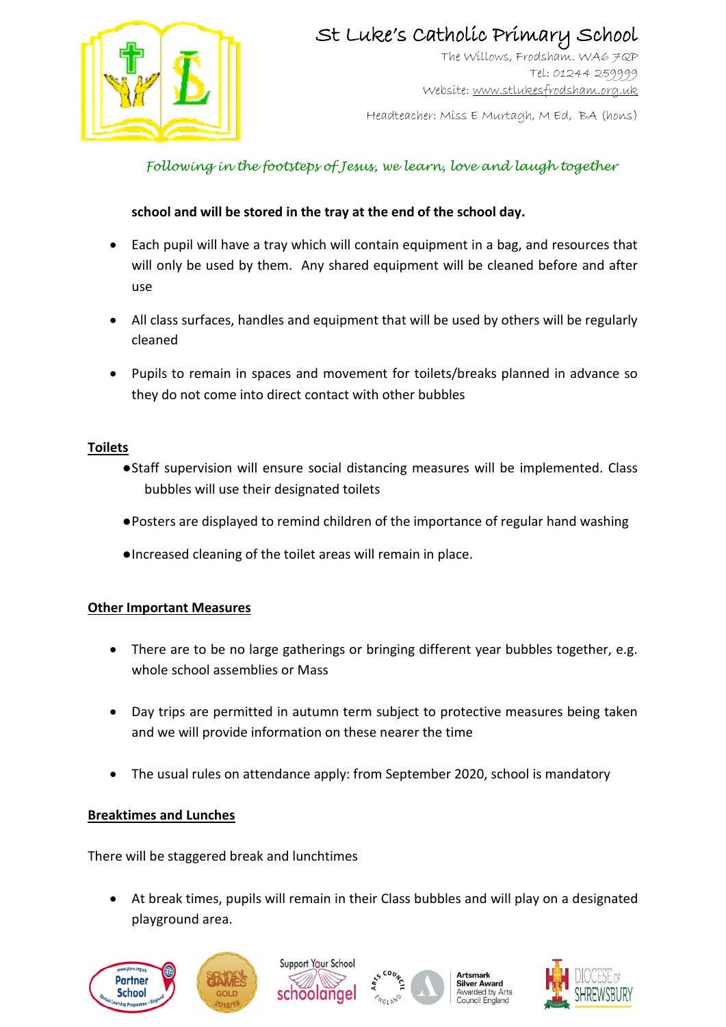

The Willows, Frodsham. WA6 7QP Tel: 01244 259999 Website[: www.stlukesfrodsham.org.uk](http://www.stlukesfrodsham.org.uk/)

Headteacher: Miss E Murtagh, M Ed, BA (hons)

## *Following in the footsteps of Jesus, we learn, love and laugh together*

### **school and will be stored in the tray at the end of the school day.**

- Each pupil will have a tray which will contain equipment in a bag, and resources that will only be used by them. Any shared equipment will be cleaned before and after use
- All class surfaces, handles and equipment that will be used by others will be regularly cleaned
- Pupils to remain in spaces and movement for toilets/breaks planned in advance so they do not come into direct contact with other bubbles

#### **Toilets**

- ●Staff supervision will ensure social distancing measures will be implemented. Class bubbles will use their designated toilets
- ●Posters are displayed to remind children of the importance of regular hand washing
- ●Increased cleaning of the toilet areas will remain in place.

### **Other Important Measures**

- There are to be no large gatherings or bringing different year bubbles together, e.g. whole school assemblies or Mass
- Day trips are permitted in autumn term subject to protective measures being taken and we will provide information on these nearer the time
- The usual rules on attendance apply: from September 2020, school is mandatory

### **Breaktimes and Lunches**

There will be staggered break and lunchtimes

 At break times, pupils will remain in their Class bubbles and will play on a designated playground area.









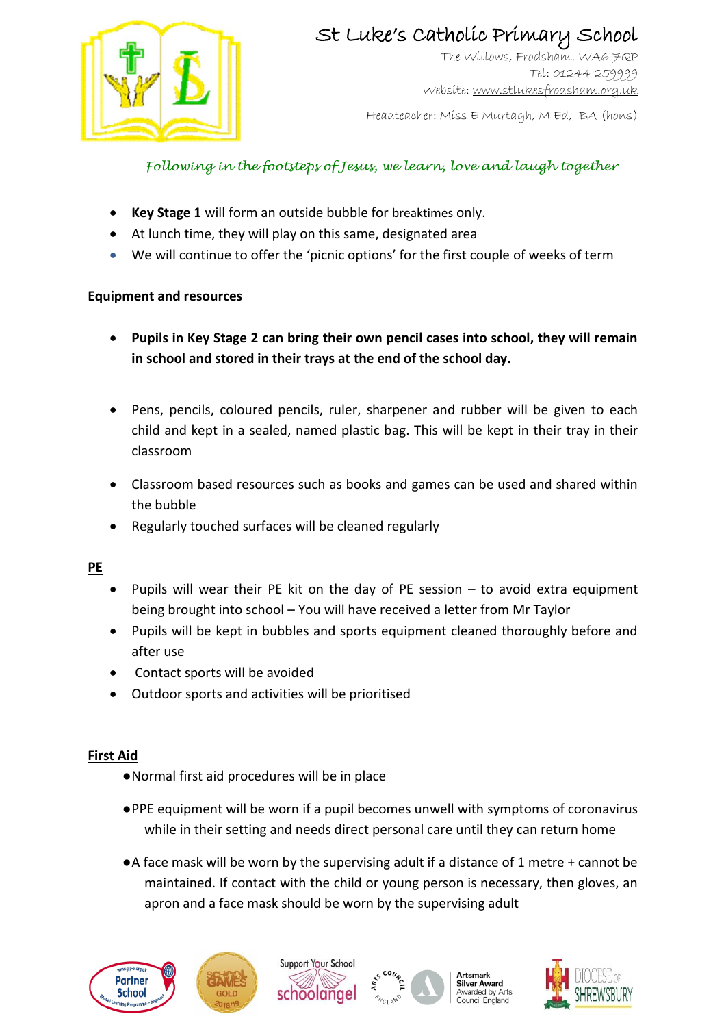

The Willows, Frodsham. WA6 7QP Tel: 01244 259999 Website[: www.stlukesfrodsham.org.uk](http://www.stlukesfrodsham.org.uk/)

Headteacher: Miss E Murtagh, M Ed, BA (hons)

### *Following in the footsteps of Jesus, we learn, love and laugh together*

- **Key Stage 1** will form an outside bubble for breaktimes only.
- At lunch time, they will play on this same, designated area
- We will continue to offer the 'picnic options' for the first couple of weeks of term

### **Equipment and resources**

- **Pupils in Key Stage 2 can bring their own pencil cases into school, they will remain in school and stored in their trays at the end of the school day.**
- Pens, pencils, coloured pencils, ruler, sharpener and rubber will be given to each child and kept in a sealed, named plastic bag. This will be kept in their tray in their classroom
- Classroom based resources such as books and games can be used and shared within the bubble
- Regularly touched surfaces will be cleaned regularly

### **PE**

- Pupils will wear their PE kit on the day of PE session to avoid extra equipment being brought into school – You will have received a letter from Mr Taylor
- Pupils will be kept in bubbles and sports equipment cleaned thoroughly before and after use
- Contact sports will be avoided
- Outdoor sports and activities will be prioritised

### **First Aid**

- ●Normal first aid procedures will be in place
- ●PPE equipment will be worn if a pupil becomes unwell with symptoms of coronavirus while in their setting and needs direct personal care until they can return home
- ●A face mask will be worn by the supervising adult if a distance of 1 metre + cannot be maintained. If contact with the child or young person is necessary, then gloves, an apron and a face mask should be worn by the supervising adult